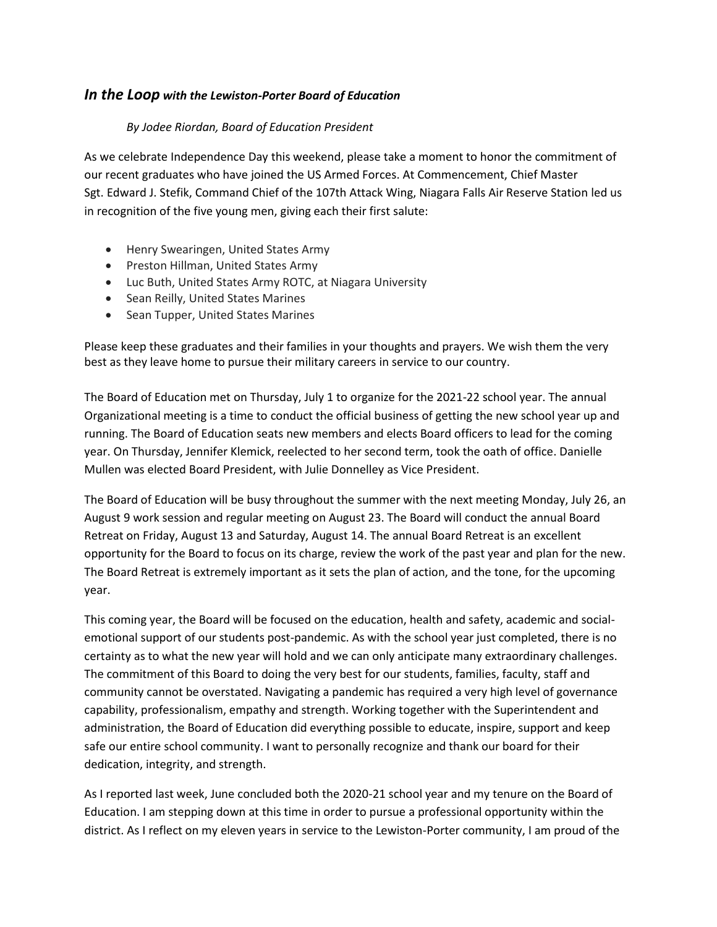## *In the Loop with the Lewiston-Porter Board of Education*

## *By Jodee Riordan, Board of Education President*

As we celebrate Independence Day this weekend, please take a moment to honor the commitment of our recent graduates who have joined the US Armed Forces. At Commencement, Chief Master Sgt. Edward J. Stefik, Command Chief of the 107th Attack Wing, Niagara Falls Air Reserve Station led us in recognition of the five young men, giving each their first salute:

- Henry Swearingen, United States Army
- Preston Hillman, United States Army
- Luc Buth, United States Army ROTC, at Niagara University
- Sean Reilly, United States Marines
- Sean Tupper, United States Marines

Please keep these graduates and their families in your thoughts and prayers. We wish them the very best as they leave home to pursue their military careers in service to our country.

The Board of Education met on Thursday, July 1 to organize for the 2021-22 school year. The annual Organizational meeting is a time to conduct the official business of getting the new school year up and running. The Board of Education seats new members and elects Board officers to lead for the coming year. On Thursday, Jennifer Klemick, reelected to her second term, took the oath of office. Danielle Mullen was elected Board President, with Julie Donnelley as Vice President.

The Board of Education will be busy throughout the summer with the next meeting Monday, July 26, an August 9 work session and regular meeting on August 23. The Board will conduct the annual Board Retreat on Friday, August 13 and Saturday, August 14. The annual Board Retreat is an excellent opportunity for the Board to focus on its charge, review the work of the past year and plan for the new. The Board Retreat is extremely important as it sets the plan of action, and the tone, for the upcoming year.

This coming year, the Board will be focused on the education, health and safety, academic and socialemotional support of our students post-pandemic. As with the school year just completed, there is no certainty as to what the new year will hold and we can only anticipate many extraordinary challenges. The commitment of this Board to doing the very best for our students, families, faculty, staff and community cannot be overstated. Navigating a pandemic has required a very high level of governance capability, professionalism, empathy and strength. Working together with the Superintendent and administration, the Board of Education did everything possible to educate, inspire, support and keep safe our entire school community. I want to personally recognize and thank our board for their dedication, integrity, and strength.

As I reported last week, June concluded both the 2020-21 school year and my tenure on the Board of Education. I am stepping down at this time in order to pursue a professional opportunity within the district. As I reflect on my eleven years in service to the Lewiston-Porter community, I am proud of the